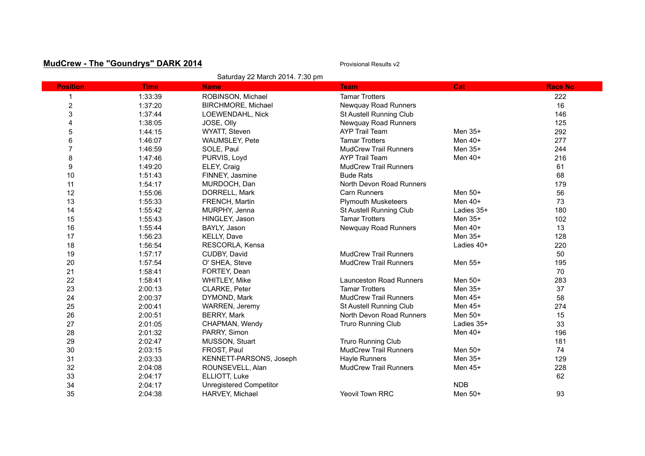## **MudCrew - The "Goundrys" DARK 2014 Provisional Results v2** Provisional Results v2

| Saturday 22 March 2014. 7:30 pm |             |                                |                                |            |                |
|---------------------------------|-------------|--------------------------------|--------------------------------|------------|----------------|
| <b>Position</b>                 | <b>Time</b> | <b>Name</b>                    | <b>Team</b>                    | Cat        | <b>Race No</b> |
|                                 | 1:33:39     | ROBINSON, Michael              | <b>Tamar Trotters</b>          |            | 222            |
| $\overline{\mathbf{c}}$         | 1:37:20     | BIRCHMORE, Michael             | Newquay Road Runners           |            | 16             |
| 3                               | 1:37:44     | LOEWENDAHL, Nick               | St Austell Running Club        |            | 146            |
| 4                               | 1:38:05     | JOSE, Olly                     | Newquay Road Runners           |            | 125            |
| 5                               | 1:44:15     | WYATT, Steven                  | <b>AYP Trail Team</b>          | Men 35+    | 292            |
| 6                               | 1:46:07     | WAUMSLEY, Pete                 | <b>Tamar Trotters</b>          | Men $40+$  | 277            |
| 7                               | 1:46:59     | SOLE, Paul                     | <b>MudCrew Trail Runners</b>   | Men 35+    | 244            |
| 8                               | 1:47:46     | PURVIS, Loyd                   | <b>AYP Trail Team</b>          | Men 40+    | 216            |
| $\boldsymbol{9}$                | 1:49:20     | ELEY, Craig                    | <b>MudCrew Trail Runners</b>   |            | 61             |
| 10                              | 1:51:43     | FINNEY, Jasmine                | <b>Bude Rats</b>               |            | 68             |
| 11                              | 1:54:17     | MURDOCH, Dan                   | North Devon Road Runners       |            | 179            |
| 12                              | 1:55:06     | DORRELL, Mark                  | Carn Runners                   | Men $50+$  | 56             |
| 13                              | 1:55:33     | FRENCH, Martin                 | <b>Plymouth Musketeers</b>     | Men 40+    | 73             |
| 14                              | 1:55:42     | MURPHY, Jenna                  | St Austell Running Club        | Ladies 35+ | 180            |
| 15                              | 1:55:43     | HINGLEY, Jason                 | <b>Tamar Trotters</b>          | Men 35+    | 102            |
| 16                              | 1:55:44     | BAYLY, Jason                   | Newquay Road Runners           | Men 40+    | 13             |
| 17                              | 1:56:23     | KELLY, Dave                    |                                | Men 35+    | 128            |
| 18                              | 1:56:54     | RESCORLA, Kensa                |                                | Ladies 40+ | 220            |
| 19                              | 1:57:17     | CUDBY, David                   | <b>MudCrew Trail Runners</b>   |            | 50             |
| 20                              | 1:57:54     | O' SHEA, Steve                 | <b>MudCrew Trail Runners</b>   | Men 55+    | 195            |
| 21                              | 1:58:41     | FORTEY, Dean                   |                                |            | 70             |
| 22                              | 1:58:41     | WHITLEY, Mike                  | <b>Launceston Road Runners</b> | Men 50+    | 283            |
| 23                              | 2:00:13     | CLARKE, Peter                  | <b>Tamar Trotters</b>          | Men 35+    | 37             |
| 24                              | 2:00:37     | DYMOND, Mark                   | <b>MudCrew Trail Runners</b>   | Men 45+    | 58             |
| 25                              | 2:00:41     | WARREN, Jeremy                 | St Austell Running Club        | Men 45+    | 274            |
| 26                              | 2:00:51     | <b>BERRY, Mark</b>             | North Devon Road Runners       | Men 50+    | 15             |
| 27                              | 2:01:05     | CHAPMAN, Wendy                 | Truro Running Club             | Ladies 35+ | 33             |
| 28                              | 2:01:32     | PARRY, Simon                   |                                | Men $40+$  | 196            |
| 29                              | 2:02:47     | MUSSON, Stuart                 | <b>Truro Running Club</b>      |            | 181            |
| 30                              | 2:03:15     | FROST, Paul                    | <b>MudCrew Trail Runners</b>   | Men 50+    | 74             |
| 31                              | 2:03:33     | KENNETT-PARSONS, Joseph        | Hayle Runners                  | Men 35+    | 129            |
| 32                              | 2:04:08     | ROUNSEVELL, Alan               | <b>MudCrew Trail Runners</b>   | Men 45+    | 228            |
| 33                              | 2:04:17     | ELLIOTT, Luke                  |                                |            | 62             |
| 34                              | 2:04:17     | <b>Unregistered Competitor</b> |                                | <b>NDB</b> |                |
| 35                              | 2:04:38     | HARVEY, Michael                | <b>Yeovil Town RRC</b>         | Men 50+    | 93             |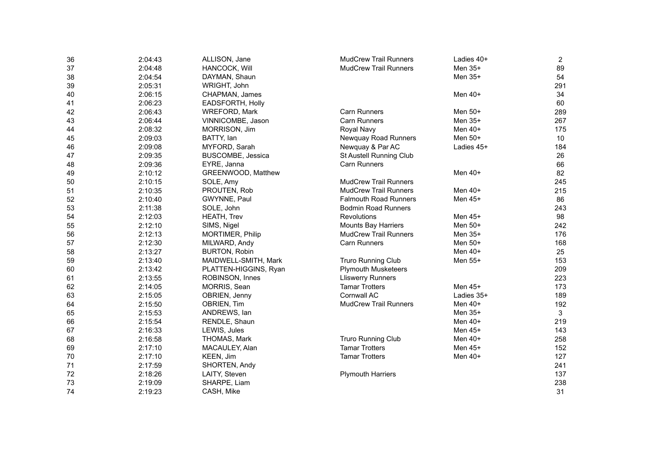| 36 | 2:04:43 | ALLISON, Jane           | <b>MudCrew Trail Runners</b> | Ladies 40+ | $\overline{2}$ |
|----|---------|-------------------------|------------------------------|------------|----------------|
| 37 | 2:04:48 | HANCOCK, Will           | <b>MudCrew Trail Runners</b> | Men 35+    | 89             |
| 38 | 2:04:54 | DAYMAN, Shaun           |                              | Men 35+    | 54             |
| 39 | 2:05:31 | WRIGHT, John            |                              |            | 291            |
| 40 | 2:06:15 | CHAPMAN, James          |                              | Men $40+$  | 34             |
| 41 | 2:06:23 | EADSFORTH, Holly        |                              |            | 60             |
| 42 | 2:06:43 | WREFORD, Mark           | Carn Runners                 | Men 50+    | 289            |
| 43 | 2:06:44 | VINNICOMBE, Jason       | <b>Carn Runners</b>          | Men 35+    | 267            |
| 44 | 2:08:32 | MORRISON, Jim           | Royal Navy                   | Men $40+$  | 175            |
| 45 | 2:09:03 | BATTY, lan              | Newquay Road Runners         | Men 50+    | 10             |
| 46 | 2:09:08 | MYFORD, Sarah           | Newquay & Par AC             | Ladies 45+ | 184            |
| 47 | 2:09:35 | BUSCOMBE, Jessica       | St Austell Running Club      |            | 26             |
| 48 | 2:09:36 | EYRE, Janna             | Carn Runners                 |            | 66             |
| 49 | 2:10:12 | GREENWOOD, Matthew      |                              | Men 40+    | 82             |
| 50 | 2:10:15 | SOLE, Amy               | <b>MudCrew Trail Runners</b> |            | 245            |
| 51 | 2:10:35 | PROUTEN, Rob            | <b>MudCrew Trail Runners</b> | Men $40+$  | 215            |
| 52 | 2:10:40 | GWYNNE, Paul            | <b>Falmouth Road Runners</b> | Men 45+    | 86             |
| 53 | 2:11:38 | SOLE, John              | <b>Bodmin Road Runners</b>   |            | 243            |
| 54 | 2:12:03 | <b>HEATH, Trev</b>      | Revolutions                  | Men 45+    | 98             |
| 55 | 2:12:10 | SIMS, Nigel             | <b>Mounts Bay Harriers</b>   | Men 50+    | 242            |
| 56 | 2:12:13 | <b>MORTIMER, Philip</b> | <b>MudCrew Trail Runners</b> | Men 35+    | 176            |
| 57 | 2:12:30 | MILWARD, Andy           | <b>Carn Runners</b>          | Men 50+    | 168            |
| 58 | 2:13:27 | <b>BURTON, Robin</b>    |                              | Men $40+$  | 25             |
| 59 | 2:13:40 | MAIDWELL-SMITH, Mark    | Truro Running Club           | Men 55+    | 153            |
| 60 | 2:13:42 | PLATTEN-HIGGINS, Ryan   | <b>Plymouth Musketeers</b>   |            | 209            |
| 61 | 2:13:55 | ROBINSON, Innes         | <b>Lliswerry Runners</b>     |            | 223            |
| 62 | 2:14:05 | MORRIS, Sean            | <b>Tamar Trotters</b>        | Men 45+    | 173            |
| 63 | 2:15:05 | OBRIEN, Jenny           | Cornwall AC                  | Ladies 35+ | 189            |
| 64 | 2:15:50 | OBRIEN, Tim             | <b>MudCrew Trail Runners</b> | Men $40+$  | 192            |
| 65 | 2:15:53 | ANDREWS, lan            |                              | Men 35+    | $\mathbf{3}$   |
| 66 | 2:15:54 | RENDLE, Shaun           |                              | Men 40+    | 219            |
| 67 | 2:16:33 | LEWIS, Jules            |                              | Men 45+    | 143            |
| 68 | 2:16:58 | THOMAS, Mark            | <b>Truro Running Club</b>    | Men $40+$  | 258            |
| 69 | 2:17:10 | MACAULEY, Alan          | <b>Tamar Trotters</b>        | Men 45+    | 152            |
| 70 | 2:17:10 | KEEN, Jim               | <b>Tamar Trotters</b>        | Men 40+    | 127            |
| 71 | 2:17:59 | SHORTEN, Andy           |                              |            | 241            |
| 72 | 2:18:26 | LAITY, Steven           | <b>Plymouth Harriers</b>     |            | 137            |
| 73 | 2:19:09 | SHARPE, Liam            |                              |            | 238            |
| 74 | 2:19:23 | CASH, Mike              |                              |            | 31             |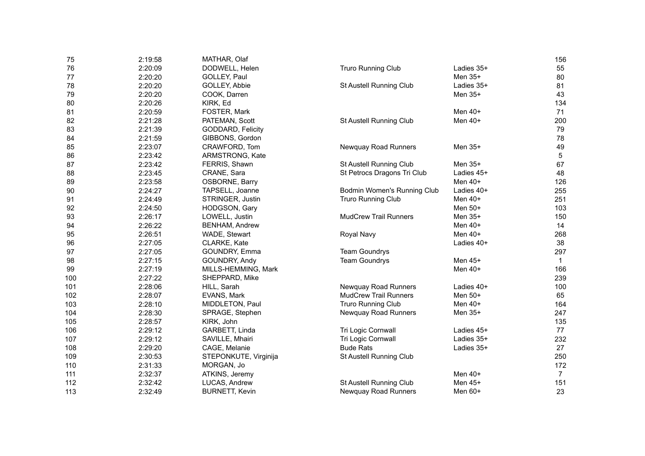| 75  | 2:19:58 | MATHAR, Olaf          |                              |            | 156             |
|-----|---------|-----------------------|------------------------------|------------|-----------------|
| 76  | 2:20:09 | DODWELL, Helen        | Truro Running Club           | Ladies 35+ | 55              |
| 77  | 2:20:20 | GOLLEY, Paul          |                              | Men 35+    | 80              |
| 78  | 2:20:20 | GOLLEY, Abbie         | St Austell Running Club      | Ladies 35+ | 81              |
| 79  | 2:20:20 | COOK, Darren          |                              | Men 35+    | 43              |
| 80  | 2:20:26 | KIRK, Ed              |                              |            | 134             |
| 81  | 2:20:59 | FOSTER, Mark          |                              | Men $40+$  | 71              |
| 82  | 2:21:28 | PATEMAN, Scott        | St Austell Running Club      | Men $40+$  | 200             |
| 83  | 2:21:39 | GODDARD, Felicity     |                              |            | 79              |
| 84  | 2:21:59 | GIBBONS, Gordon       |                              |            | 78              |
| 85  | 2:23:07 | CRAWFORD, Tom         | Newquay Road Runners         | Men 35+    | 49              |
| 86  | 2:23:42 | ARMSTRONG, Kate       |                              |            | $5\phantom{.0}$ |
| 87  | 2:23:42 | FERRIS, Shawn         | St Austell Running Club      | Men 35+    | 67              |
| 88  | 2:23:45 | CRANE, Sara           | St Petrocs Dragons Tri Club  | Ladies 45+ | 48              |
| 89  | 2:23:58 | OSBORNE, Barry        |                              | Men 40+    | 126             |
| 90  | 2:24:27 | TAPSELL, Joanne       | Bodmin Women's Running Club  | Ladies 40+ | 255             |
| 91  | 2:24:49 | STRINGER, Justin      | Truro Running Club           | Men $40+$  | 251             |
| 92  | 2:24:50 | HODGSON, Gary         |                              | Men 50+    | 103             |
| 93  | 2:26:17 | LOWELL, Justin        | <b>MudCrew Trail Runners</b> | Men $35+$  | 150             |
| 94  | 2:26:22 | <b>BENHAM, Andrew</b> |                              | Men 40+    | 14              |
| 95  | 2:26:51 | WADE, Stewart         | Royal Navy                   | Men $40+$  | 268             |
| 96  | 2:27:05 | CLARKE, Kate          |                              | Ladies 40+ | 38              |
| 97  | 2:27:05 | GOUNDRY, Emma         | <b>Team Goundrys</b>         |            | 297             |
| 98  | 2:27:15 | GOUNDRY, Andy         | <b>Team Goundrys</b>         | Men 45+    | $\overline{1}$  |
| 99  | 2:27:19 | MILLS-HEMMING, Mark   |                              | Men 40+    | 166             |
| 100 | 2:27:22 | SHEPPARD, Mike        |                              |            | 239             |
| 101 | 2:28:06 | HILL, Sarah           | Newquay Road Runners         | Ladies 40+ | 100             |
| 102 | 2:28:07 | EVANS, Mark           | <b>MudCrew Trail Runners</b> | Men 50+    | 65              |
| 103 | 2:28:10 | MIDDLETON, Paul       | <b>Truro Running Club</b>    | Men $40+$  | 164             |
| 104 | 2:28:30 | SPRAGE, Stephen       | Newquay Road Runners         | Men 35+    | 247             |
| 105 | 2:28:57 | KIRK, John            |                              |            | 135             |
| 106 | 2:29:12 | GARBETT, Linda        | Tri Logic Cornwall           | Ladies 45+ | 77              |
| 107 | 2:29:12 | SAVILLE, Mhairi       | Tri Logic Cornwall           | Ladies 35+ | 232             |
| 108 | 2:29:20 | CAGE, Melanie         | <b>Bude Rats</b>             | Ladies 35+ | 27              |
| 109 | 2:30:53 | STEPONKUTE, Virginija | St Austell Running Club      |            | 250             |
| 110 | 2:31:33 | MORGAN, Jo            |                              |            | 172             |
| 111 | 2:32:37 | ATKINS, Jeremy        |                              | Men 40+    | $\overline{7}$  |
| 112 | 2:32:42 | LUCAS, Andrew         | St Austell Running Club      | Men 45+    | 151             |
| 113 | 2:32:49 | <b>BURNETT, Kevin</b> | Newquay Road Runners         | Men 60+    | 23              |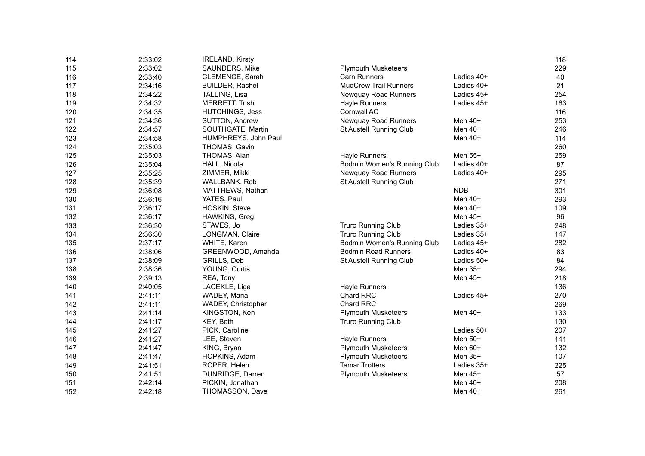| 114 | 2:33:02 | <b>IRELAND, Kirsty</b> |                              |            | 118 |
|-----|---------|------------------------|------------------------------|------------|-----|
| 115 | 2:33:02 | SAUNDERS, Mike         | <b>Plymouth Musketeers</b>   |            | 229 |
| 116 | 2:33:40 | CLEMENCE, Sarah        | Carn Runners                 | Ladies 40+ | 40  |
| 117 | 2:34:16 | <b>BUILDER, Rachel</b> | <b>MudCrew Trail Runners</b> | Ladies 40+ | 21  |
| 118 | 2:34:22 | TALLING, Lisa          | Newquay Road Runners         | Ladies 45+ | 254 |
| 119 | 2:34:32 | <b>MERRETT, Trish</b>  | <b>Hayle Runners</b>         | Ladies 45+ | 163 |
| 120 | 2:34:35 | <b>HUTCHINGS, Jess</b> | Cornwall AC                  |            | 116 |
| 121 | 2:34:36 | SUTTON, Andrew         | Newquay Road Runners         | Men 40+    | 253 |
| 122 | 2:34:57 | SOUTHGATE, Martin      | St Austell Running Club      | Men 40+    | 246 |
| 123 | 2:34:58 | HUMPHREYS, John Paul   |                              | Men 40+    | 114 |
| 124 | 2:35:03 | THOMAS, Gavin          |                              |            | 260 |
| 125 | 2:35:03 | THOMAS, Alan           | <b>Hayle Runners</b>         | Men 55+    | 259 |
| 126 | 2:35:04 | HALL, Nicola           | Bodmin Women's Running Club  | Ladies 40+ | 87  |
| 127 | 2:35:25 | ZIMMER, Mikki          | Newquay Road Runners         | Ladies 40+ | 295 |
| 128 | 2:35:39 | WALLBANK, Rob          | St Austell Running Club      |            | 271 |
| 129 | 2:36:08 | MATTHEWS, Nathan       |                              | <b>NDB</b> | 301 |
| 130 | 2:36:16 | YATES, Paul            |                              | Men $40+$  | 293 |
| 131 | 2:36:17 | HOSKIN, Steve          |                              | Men $40+$  | 109 |
| 132 | 2:36:17 | HAWKINS, Greg          |                              | Men $45+$  | 96  |
| 133 | 2:36:30 | STAVES, Jo             | Truro Running Club           | Ladies 35+ | 248 |
| 134 | 2:36:30 | LONGMAN, Claire        | <b>Truro Running Club</b>    | Ladies 35+ | 147 |
| 135 | 2:37:17 | WHITE, Karen           | Bodmin Women's Running Club  | Ladies 45+ | 282 |
| 136 | 2:38:06 | GREENWOOD, Amanda      | <b>Bodmin Road Runners</b>   | Ladies 40+ | 83  |
| 137 | 2:38:09 | GRILLS, Deb            | St Austell Running Club      | Ladies 50+ | 84  |
| 138 | 2:38:36 | YOUNG, Curtis          |                              | Men 35+    | 294 |
| 139 | 2:39:13 | REA, Tony              |                              | Men 45+    | 218 |
| 140 | 2:40:05 | LACEKLE, Liga          | Hayle Runners                |            | 136 |
| 141 | 2:41:11 | WADEY, Maria           | <b>Chard RRC</b>             | Ladies 45+ | 270 |
| 142 | 2:41:11 | WADEY, Christopher     | Chard RRC                    |            | 269 |
| 143 | 2:41:14 | KINGSTON, Ken          | <b>Plymouth Musketeers</b>   | Men $40+$  | 133 |
| 144 | 2:41:17 | KEY, Beth              | <b>Truro Running Club</b>    |            | 130 |
| 145 | 2:41:27 | PICK, Caroline         |                              | Ladies 50+ | 207 |
| 146 | 2:41:27 | LEE, Steven            | <b>Hayle Runners</b>         | Men 50+    | 141 |
| 147 | 2:41:47 | KING, Bryan            | <b>Plymouth Musketeers</b>   | Men 60+    | 132 |
| 148 | 2:41:47 | HOPKINS, Adam          | <b>Plymouth Musketeers</b>   | Men 35+    | 107 |
| 149 | 2:41:51 | ROPER, Helen           | <b>Tamar Trotters</b>        | Ladies 35+ | 225 |
| 150 | 2:41:51 | DUNRIDGE, Darren       | <b>Plymouth Musketeers</b>   | Men 45+    | 57  |
| 151 | 2:42:14 | PICKIN, Jonathan       |                              | Men 40+    | 208 |
| 152 | 2:42:18 | THOMASSON, Dave        |                              | Men 40+    | 261 |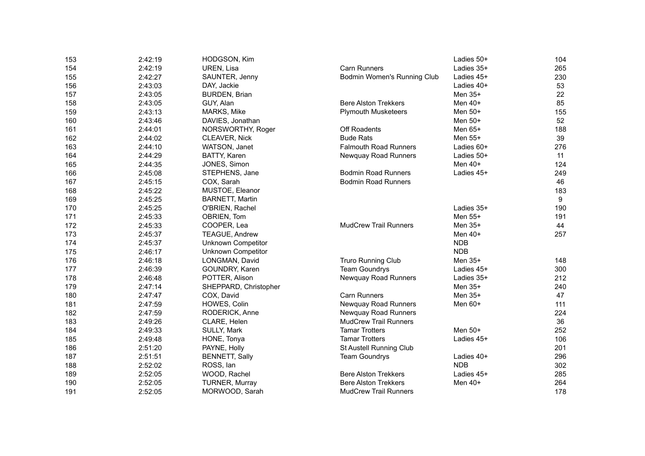| 153 | 2:42:19 | HODGSON, Kim              |                              | Ladies 50+ | 104 |
|-----|---------|---------------------------|------------------------------|------------|-----|
| 154 | 2:42:19 | UREN, Lisa                | Carn Runners                 | Ladies 35+ | 265 |
| 155 | 2:42:27 | SAUNTER, Jenny            | Bodmin Women's Running Club  | Ladies 45+ | 230 |
| 156 | 2:43:03 | DAY, Jackie               |                              | Ladies 40+ | 53  |
| 157 | 2:43:05 | BURDEN, Brian             |                              | Men 35+    | 22  |
| 158 | 2:43:05 | GUY, Alan                 | <b>Bere Alston Trekkers</b>  | Men 40+    | 85  |
| 159 | 2:43:13 | MARKS, Mike               | <b>Plymouth Musketeers</b>   | Men 50+    | 155 |
| 160 | 2:43:46 | DAVIES, Jonathan          |                              | Men 50+    | 52  |
| 161 | 2:44:01 | NORSWORTHY, Roger         | Off Roadents                 | Men 65+    | 188 |
| 162 | 2:44:02 | CLEAVER, Nick             | <b>Bude Rats</b>             | Men 55+    | 39  |
| 163 | 2:44:10 | WATSON, Janet             | <b>Falmouth Road Runners</b> | Ladies 60+ | 276 |
| 164 | 2:44:29 | BATTY, Karen              | Newquay Road Runners         | Ladies 50+ | 11  |
| 165 | 2:44:35 | JONES, Simon              |                              | Men 40+    | 124 |
| 166 | 2:45:08 | STEPHENS, Jane            | <b>Bodmin Road Runners</b>   | Ladies 45+ | 249 |
| 167 | 2:45:15 | COX, Sarah                | <b>Bodmin Road Runners</b>   |            | 46  |
| 168 | 2:45:22 | MUSTOE, Eleanor           |                              |            | 183 |
| 169 | 2:45:25 | <b>BARNETT, Martin</b>    |                              |            | 9   |
| 170 | 2:45:25 | O'BRIEN, Rachel           |                              | Ladies 35+ | 190 |
| 171 | 2:45:33 | OBRIEN, Tom               |                              | Men 55+    | 191 |
| 172 | 2:45:33 | COOPER, Lea               | <b>MudCrew Trail Runners</b> | Men 35+    | 44  |
| 173 | 2:45:37 | <b>TEAGUE, Andrew</b>     |                              | Men 40+    | 257 |
| 174 | 2:45:37 | <b>Unknown Competitor</b> |                              | <b>NDB</b> |     |
| 175 | 2:46:17 | <b>Unknown Competitor</b> |                              | <b>NDB</b> |     |
| 176 | 2:46:18 | LONGMAN, David            | <b>Truro Running Club</b>    | Men 35+    | 148 |
| 177 | 2:46:39 | GOUNDRY, Karen            | <b>Team Goundrys</b>         | Ladies 45+ | 300 |
| 178 | 2:46:48 | POTTER, Alison            | Newquay Road Runners         | Ladies 35+ | 212 |
| 179 | 2:47:14 | SHEPPARD, Christopher     |                              | Men 35+    | 240 |
| 180 | 2:47:47 | COX, David                | Carn Runners                 | Men 35+    | 47  |
| 181 | 2:47:59 | HOWES, Colin              | Newquay Road Runners         | Men $60+$  | 111 |
| 182 | 2:47:59 | RODERICK, Anne            | Newquay Road Runners         |            | 224 |
| 183 | 2:49:26 | CLARE, Helen              | <b>MudCrew Trail Runners</b> |            | 36  |
| 184 | 2:49:33 | SULLY, Mark               | <b>Tamar Trotters</b>        | Men 50+    | 252 |
| 185 | 2:49:48 | HONE, Tonya               | <b>Tamar Trotters</b>        | Ladies 45+ | 106 |
| 186 | 2:51:20 | PAYNE, Holly              | St Austell Running Club      |            | 201 |
| 187 | 2:51:51 | <b>BENNETT, Sally</b>     | <b>Team Goundrys</b>         | Ladies 40+ | 296 |
| 188 | 2:52:02 | ROSS, lan                 |                              | <b>NDB</b> | 302 |
| 189 | 2:52:05 | WOOD, Rachel              | <b>Bere Alston Trekkers</b>  | Ladies 45+ | 285 |
| 190 | 2:52:05 | TURNER, Murray            | <b>Bere Alston Trekkers</b>  | Men 40+    | 264 |
| 191 | 2:52:05 | MORWOOD, Sarah            | <b>MudCrew Trail Runners</b> |            | 178 |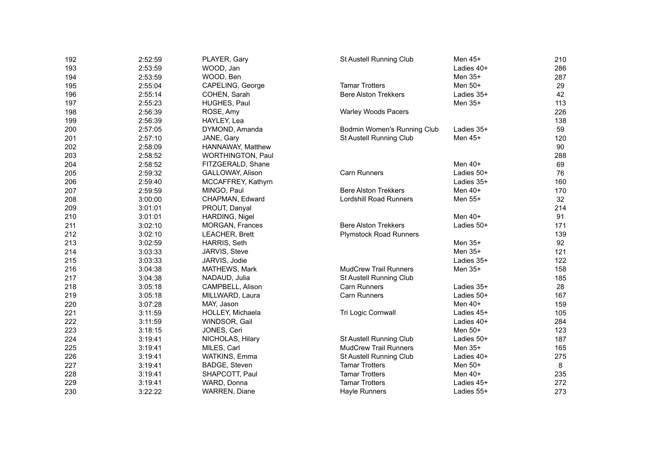| 192 | 2:52:59 | PLAYER, Gary       | St Austell Running Club       | Men 45+    | 210 |
|-----|---------|--------------------|-------------------------------|------------|-----|
| 193 | 2:53:59 | WOOD, Jan          |                               | Ladies 40+ | 286 |
| 194 | 2:53:59 | WOOD, Ben          |                               | Men 35+    | 287 |
| 195 | 2:55:04 | CAPELING, George   | <b>Tamar Trotters</b>         | Men 50+    | 29  |
| 196 | 2:55:14 | COHEN, Sarah       | <b>Bere Alston Trekkers</b>   | Ladies 35+ | 42  |
| 197 | 2:55:23 | HUGHES, Paul       |                               | Men 35+    | 113 |
| 198 | 2:56:39 | ROSE, Amy          | <b>Warley Woods Pacers</b>    |            | 226 |
| 199 | 2:56:39 | HAYLEY, Lea        |                               |            | 138 |
| 200 | 2:57:05 | DYMOND, Amanda     | Bodmin Women's Running Club   | Ladies 35+ | 59  |
| 201 | 2:57:10 | JANE, Gary         | St Austell Running Club       | Men 45+    | 120 |
| 202 | 2:58:09 | HANNAWAY, Matthew  |                               |            | 90  |
| 203 | 2:58:52 | WORTHINGTON, Paul  |                               |            | 288 |
| 204 | 2:58:52 | FITZGERALD, Shane  |                               | Men 40+    | 69  |
| 205 | 2:59:32 | GALLOWAY, Alison   | Carn Runners                  | Ladies 50+ | 76  |
| 206 | 2:59:40 | MCCAFFREY, Kathyrn |                               | Ladies 35+ | 160 |
| 207 | 2:59:59 | MINGO, Paul        | <b>Bere Alston Trekkers</b>   | Men 40+    | 170 |
| 208 | 3:00:00 | CHAPMAN, Edward    | Lordshill Road Runners        | Men 55+    | 32  |
| 209 | 3:01:01 | PROUT, Danyal      |                               |            | 214 |
| 210 | 3:01:01 | HARDING, Nigel     |                               | Men $40+$  | 91  |
| 211 | 3:02:10 | MORGAN, Frances    | <b>Bere Alston Trekkers</b>   | Ladies 50+ | 171 |
| 212 | 3:02:10 | LEACHER, Brett     | <b>Plymstock Road Runners</b> |            | 139 |
| 213 | 3:02:59 | HARRIS, Seth       |                               | Men 35+    | 92  |
| 214 | 3:03:33 | JARVIS, Steve      |                               | Men 35+    | 121 |
| 215 | 3:03:33 | JARVIS, Jodie      |                               | Ladies 35+ | 122 |
| 216 | 3:04:38 | MATHEWS, Mark      | <b>MudCrew Trail Runners</b>  | Men 35+    | 158 |
| 217 | 3:04:38 | NADAUD, Julia      | St Austell Running Club       |            | 185 |
| 218 | 3:05:18 | CAMPBELL, Alison   | Carn Runners                  | Ladies 35+ | 28  |
| 219 | 3:05:18 | MILLWARD, Laura    | Carn Runners                  | Ladies 50+ | 167 |
| 220 | 3:07:28 | MAY, Jason         |                               | Men $40+$  | 159 |
| 221 | 3:11:59 | HOLLEY, Michaela   | Tri Logic Cornwall            | Ladies 45+ | 105 |
| 222 | 3:11:59 | WINDSOR, Gail      |                               | Ladies 40+ | 284 |
| 223 | 3:18:15 | JONES, Ceri        |                               | Men 50+    | 123 |
| 224 | 3:19:41 | NICHOLAS, Hilary   | St Austell Running Club       | Ladies 50+ | 187 |
| 225 | 3:19:41 | MILES, Carl        | <b>MudCrew Trail Runners</b>  | Men 35+    | 165 |
| 226 | 3:19:41 | WATKINS, Emma      | St Austell Running Club       | Ladies 40+ | 275 |
| 227 | 3:19:41 | BADGE, Steven      | <b>Tamar Trotters</b>         | Men 50+    | 8   |
| 228 | 3:19:41 | SHAPCOTT, Paul     | <b>Tamar Trotters</b>         | Men 40+    | 235 |
| 229 | 3:19:41 | WARD, Donna        | <b>Tamar Trotters</b>         | Ladies 45+ | 272 |
| 230 | 3:22:22 | WARREN, Diane      | Hayle Runners                 | Ladies 55+ | 273 |